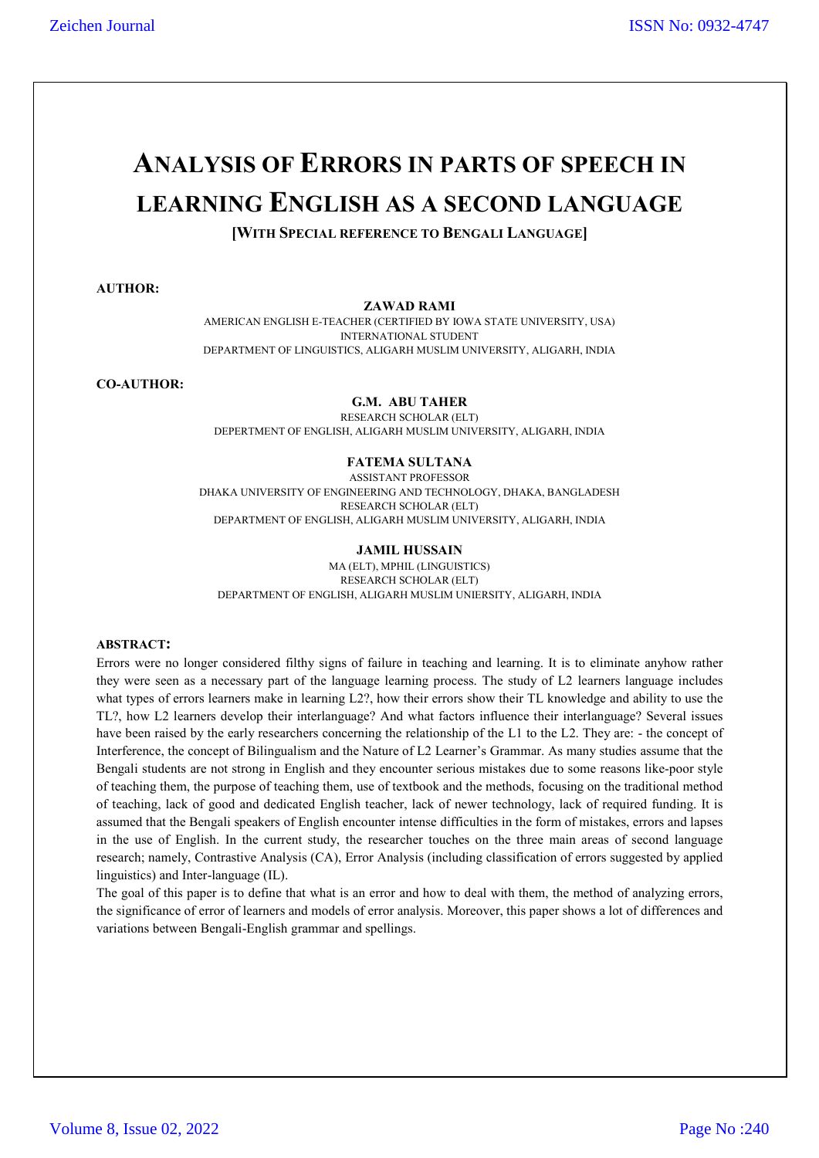# **ANALYSIS OF ERRORS IN PARTS OF SPEECH IN LEARNING ENGLISH AS A SECOND LANGUAGE**

**[WITH SPECIAL REFERENCE TO BENGALI LANGUAGE]**

**AUTHOR:**

#### **ZAWAD RAMI**

AMERICAN ENGLISH E-TEACHER (CERTIFIED BY IOWA STATE UNIVERSITY, USA) INTERNATIONAL STUDENT DEPARTMENT OF LINGUISTICS, ALIGARH MUSLIM UNIVERSITY, ALIGARH, INDIA

**CO-AUTHOR:**

#### **G.M. ABU TAHER**

RESEARCH SCHOLAR (ELT) DEPERTMENT OF ENGLISH, ALIGARH MUSLIM UNIVERSITY, ALIGARH, INDIA

## **FATEMA SULTANA**

ASSISTANT PROFESSOR DHAKA UNIVERSITY OF ENGINEERING AND TECHNOLOGY, DHAKA, BANGLADESH RESEARCH SCHOLAR (ELT) DEPARTMENT OF ENGLISH, ALIGARH MUSLIM UNIVERSITY, ALIGARH, INDIA

**JAMIL HUSSAIN**

MA (ELT), MPHIL (LINGUISTICS) RESEARCH SCHOLAR (ELT)

DEPARTMENT OF ENGLISH, ALIGARH MUSLIM UNIERSITY, ALIGARH, INDIA

#### **ABSTRACT:**

Errors were no longer considered filthy signs of failure in teaching and learning. It is to eliminate anyhow rather they were seen as a necessary part of the language learning process. The study of L2 learners language includes what types of errors learners make in learning L2?, how their errors show their TL knowledge and ability to use the TL?, how L2 learners develop their interlanguage? And what factors influence their interlanguage? Several issues have been raised by the early researchers concerning the relationship of the L1 to the L2. They are: - the concept of Interference, the concept of Bilingualism and the Nature of L2 Learner's Grammar. As many studies assume that the Bengali students are not strong in English and they encounter serious mistakes due to some reasons like-poor style of teaching them, the purpose of teaching them, use of textbook and the methods, focusing on the traditional method of teaching, lack of good and dedicated English teacher, lack of newer technology, lack of required funding. It is assumed that the Bengali speakers of English encounter intense difficulties in the form of mistakes, errors and lapses in the use of English. In the current study, the researcher touches on the three main areas of second language research; namely, Contrastive Analysis (CA), Error Analysis (including classification of errors suggested by applied linguistics) and Inter-language (IL).

The goal of this paper is to define that what is an error and how to deal with them, the method of analyzing errors, the significance of error of learners and models of error analysis. Moreover, this paper shows a lot of differences and variations between Bengali-English grammar and spellings.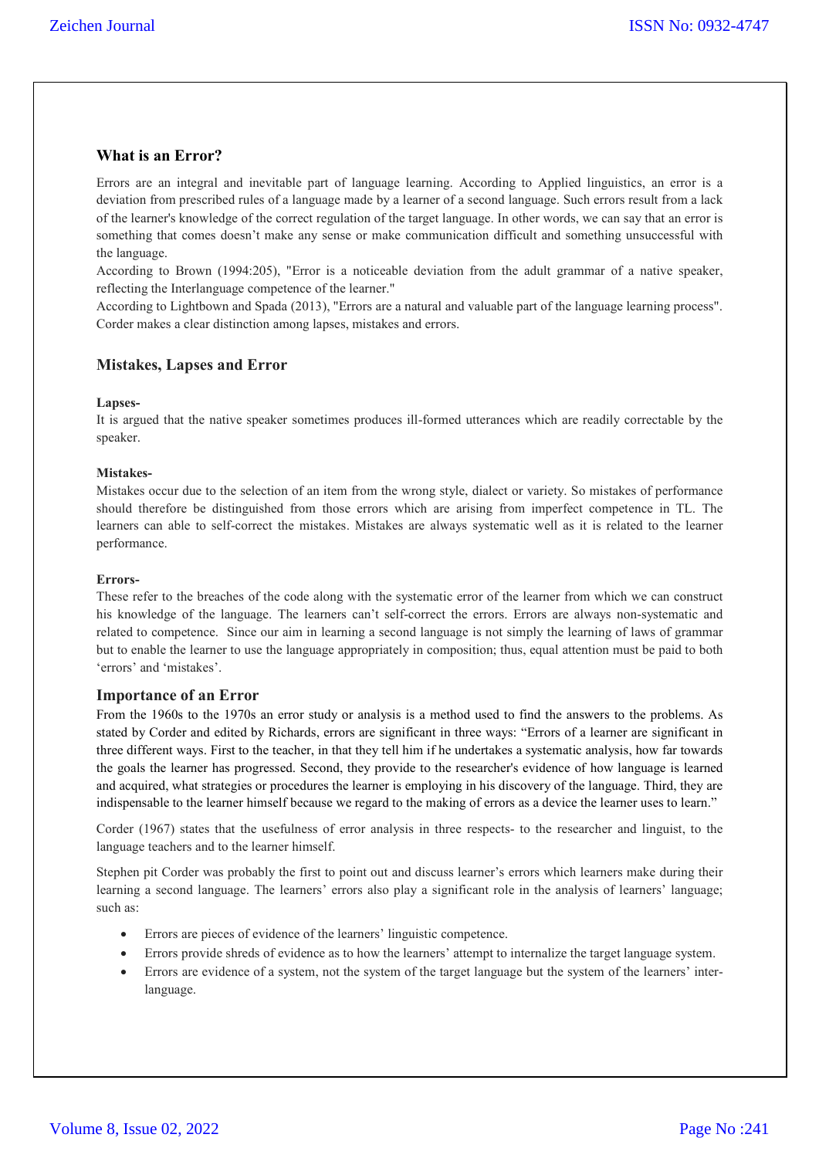# **What is an Error?**

Errors are an integral and inevitable part of language learning. According to Applied linguistics, an error is a deviation from prescribed rules of a language made by a learner of a second language. Such errors result from a lack of the learner's knowledge of the correct regulation of the target language. In other words, we can say that an error is something that comes doesn't make any sense or make communication difficult and something unsuccessful with the language.

According to Brown (1994:205), "Error is a noticeable deviation from the adult grammar of a native speaker, reflecting the Interlanguage competence of the learner."

According to Lightbown and Spada (2013), "Errors are a natural and valuable part of the language learning process". Corder makes a clear distinction among lapses, mistakes and errors.

## **Mistakes, Lapses and Error**

#### **Lapses-**

It is argued that the native speaker sometimes produces ill-formed utterances which are readily correctable by the speaker.

#### **Mistakes-**

Mistakes occur due to the selection of an item from the wrong style, dialect or variety. So mistakes of performance should therefore be distinguished from those errors which are arising from imperfect competence in TL. The learners can able to self-correct the mistakes. Mistakes are always systematic well as it is related to the learner performance.

#### **Errors-**

These refer to the breaches of the code along with the systematic error of the learner from which we can construct his knowledge of the language. The learners can't self-correct the errors. Errors are always non-systematic and related to competence. Since our aim in learning a second language is not simply the learning of laws of grammar but to enable the learner to use the language appropriately in composition; thus, equal attention must be paid to both 'errors' and 'mistakes'.

#### **Importance of an Error**

From the 1960s to the 1970s an error study or analysis is a method used to find the answers to the problems. As stated by Corder and edited by Richards, errors are significant in three ways: "Errors of a learner are significant in three different ways. First to the teacher, in that they tell him if he undertakes a systematic analysis, how far towards the goals the learner has progressed. Second, they provide to the researcher's evidence of how language is learned and acquired, what strategies or procedures the learner is employing in his discovery of the language. Third, they are indispensable to the learner himself because we regard to the making of errors as a device the learner uses to learn."

Corder (1967) states that the usefulness of error analysis in three respects- to the researcher and linguist, to the language teachers and to the learner himself.

Stephen pit Corder was probably the first to point out and discuss learner's errors which learners make during their learning a second language. The learners' errors also play a significant role in the analysis of learners' language; such as:

- Errors are pieces of evidence of the learners' linguistic competence.
- Errors provide shreds of evidence as to how the learners' attempt to internalize the target language system.
- Errors are evidence of a system, not the system of the target language but the system of the learners' interlanguage.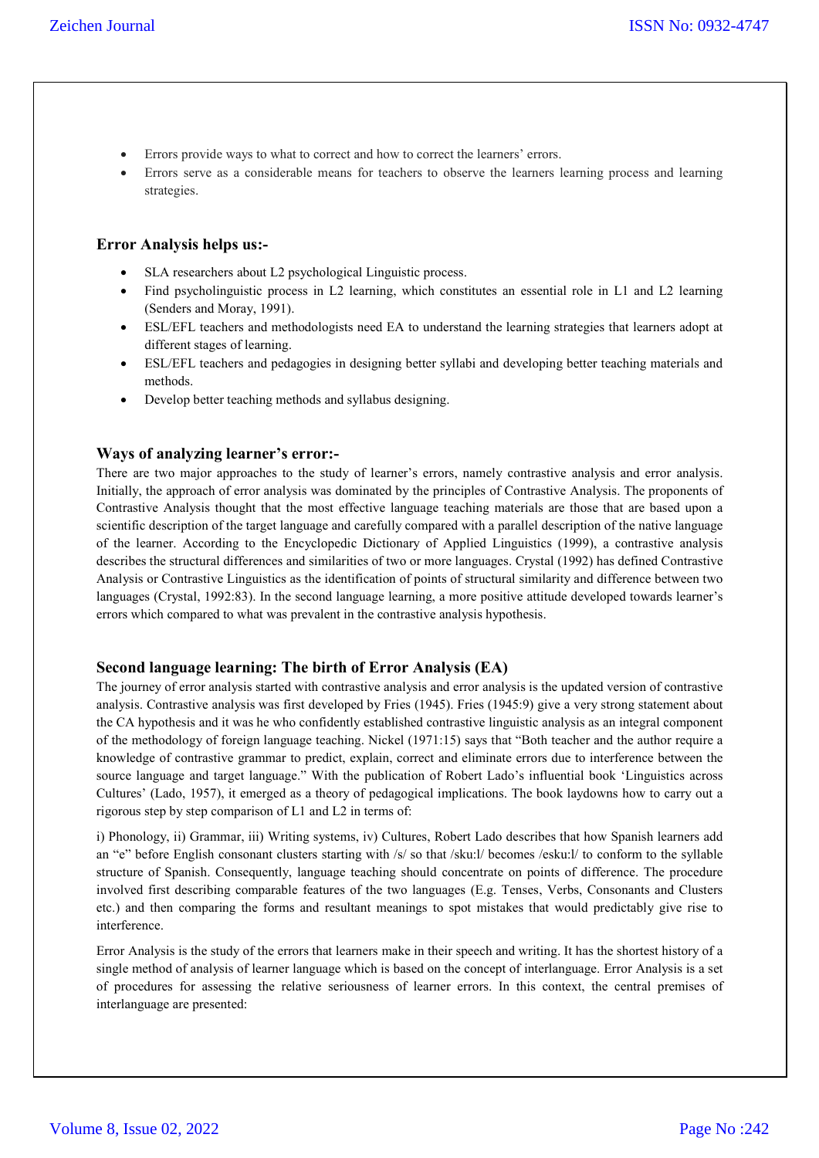- Errors provide ways to what to correct and how to correct the learners' errors.
- Errors serve as a considerable means for teachers to observe the learners learning process and learning strategies.

## **Error Analysis helps us:-**

- SLA researchers about L2 psychological Linguistic process.
- Find psycholinguistic process in L2 learning, which constitutes an essential role in L1 and L2 learning (Senders and Moray, 1991).
- ESL/EFL teachers and methodologists need EA to understand the learning strategies that learners adopt at different stages of learning.
- ESL/EFL teachers and pedagogies in designing better syllabi and developing better teaching materials and methods.
- Develop better teaching methods and syllabus designing.

# **Ways of analyzing learner's error:-**

There are two major approaches to the study of learner's errors, namely contrastive analysis and error analysis. Initially, the approach of error analysis was dominated by the principles of Contrastive Analysis. The proponents of Contrastive Analysis thought that the most effective language teaching materials are those that are based upon a scientific description of the target language and carefully compared with a parallel description of the native language of the learner. According to the Encyclopedic Dictionary of Applied Linguistics (1999), a contrastive analysis describes the structural differences and similarities of two or more languages. Crystal (1992) has defined Contrastive Analysis or Contrastive Linguistics as the identification of points of structural similarity and difference between two languages (Crystal, 1992:83). In the second language learning, a more positive attitude developed towards learner's errors which compared to what was prevalent in the contrastive analysis hypothesis.

## **Second language learning: The birth of Error Analysis (EA)**

The journey of error analysis started with contrastive analysis and error analysis is the updated version of contrastive analysis. Contrastive analysis was first developed by Fries (1945). Fries (1945:9) give a very strong statement about the CA hypothesis and it was he who confidently established contrastive linguistic analysis as an integral component of the methodology of foreign language teaching. Nickel (1971:15) says that "Both teacher and the author require a knowledge of contrastive grammar to predict, explain, correct and eliminate errors due to interference between the source language and target language." With the publication of Robert Lado's influential book 'Linguistics across Cultures' (Lado, 1957), it emerged as a theory of pedagogical implications. The book laydowns how to carry out a rigorous step by step comparison of L1 and L2 in terms of:

i) Phonology, ii) Grammar, iii) Writing systems, iv) Cultures, Robert Lado describes that how Spanish learners add an "e" before English consonant clusters starting with /s/ so that /sku:l/ becomes /esku:l/ to conform to the syllable structure of Spanish. Consequently, language teaching should concentrate on points of difference. The procedure involved first describing comparable features of the two languages (E.g. Tenses, Verbs, Consonants and Clusters etc.) and then comparing the forms and resultant meanings to spot mistakes that would predictably give rise to interference.

Error Analysis is the study of the errors that learners make in their speech and writing. It has the shortest history of a single method of analysis of learner language which is based on the concept of interlanguage. Error Analysis is a set of procedures for assessing the relative seriousness of learner errors. In this context, the central premises of interlanguage are presented: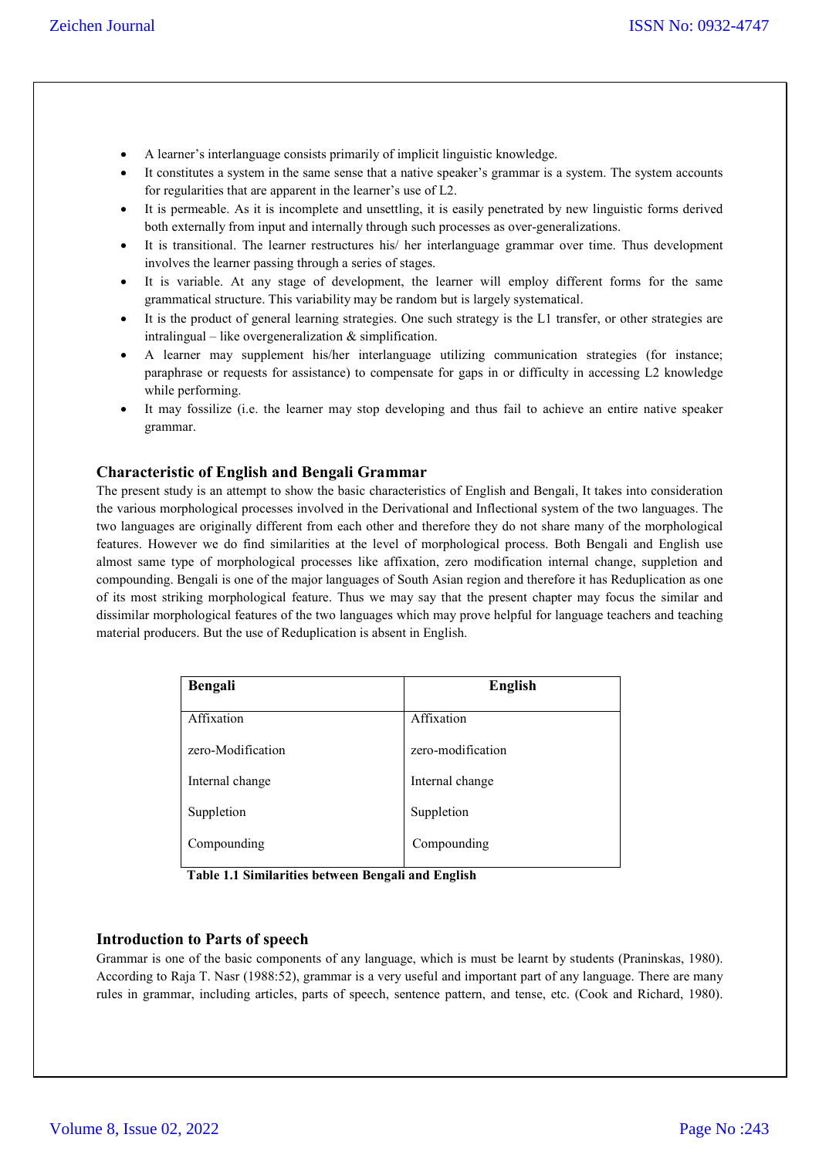- A learner's interlanguage consists primarily of implicit linguistic knowledge.
- It constitutes a system in the same sense that a native speaker's grammar is a system. The system accounts for regularities that are apparent in the learner's use of L2.
- It is permeable. As it is incomplete and unsettling, it is easily penetrated by new linguistic forms derived both externally from input and internally through such processes as over-generalizations.
- It is transitional. The learner restructures his/ her interlanguage grammar over time. Thus development involves the learner passing through a series of stages.
- It is variable. At any stage of development, the learner will employ different forms for the same grammatical structure. This variability may be random but is largely systematical.
- It is the product of general learning strategies. One such strategy is the L1 transfer, or other strategies are intralingual – like overgeneralization  $\&$  simplification.
- A learner may supplement his/her interlanguage utilizing communication strategies (for instance; paraphrase or requests for assistance) to compensate for gaps in or difficulty in accessing L2 knowledge while performing.
- It may fossilize (i.e. the learner may stop developing and thus fail to achieve an entire native speaker grammar.

# **Characteristic of English and Bengali Grammar**

The present study is an attempt to show the basic characteristics of English and Bengali, It takes into consideration the various morphological processes involved in the Derivational and Inflectional system of the two languages. The two languages are originally different from each other and therefore they do not share many of the morphological features. However we do find similarities at the level of morphological process. Both Bengali and English use almost same type of morphological processes like affixation, zero modification internal change, suppletion and compounding. Bengali is one of the major languages of South Asian region and therefore it has Reduplication as one of its most striking morphological feature. Thus we may say that the present chapter may focus the similar and dissimilar morphological features of the two languages which may prove helpful for language teachers and teaching material producers. But the use of Reduplication is absent in English.

| Bengali           | <b>English</b>    |  |
|-------------------|-------------------|--|
| Affixation        | Affixation        |  |
| zero-Modification | zero-modification |  |
| Internal change   | Internal change   |  |
| Suppletion        | Suppletion        |  |
| Compounding       | Compounding       |  |

 **Table 1.1 Similarities between Bengali and English**

## **Introduction to Parts of speech**

Grammar is one of the basic components of any language, which is must be learnt by students (Praninskas, 1980). According to Raja T. Nasr (1988:52), grammar is a very useful and important part of any language. There are many rules in grammar, including articles, parts of speech, sentence pattern, and tense, etc. (Cook and Richard, 1980).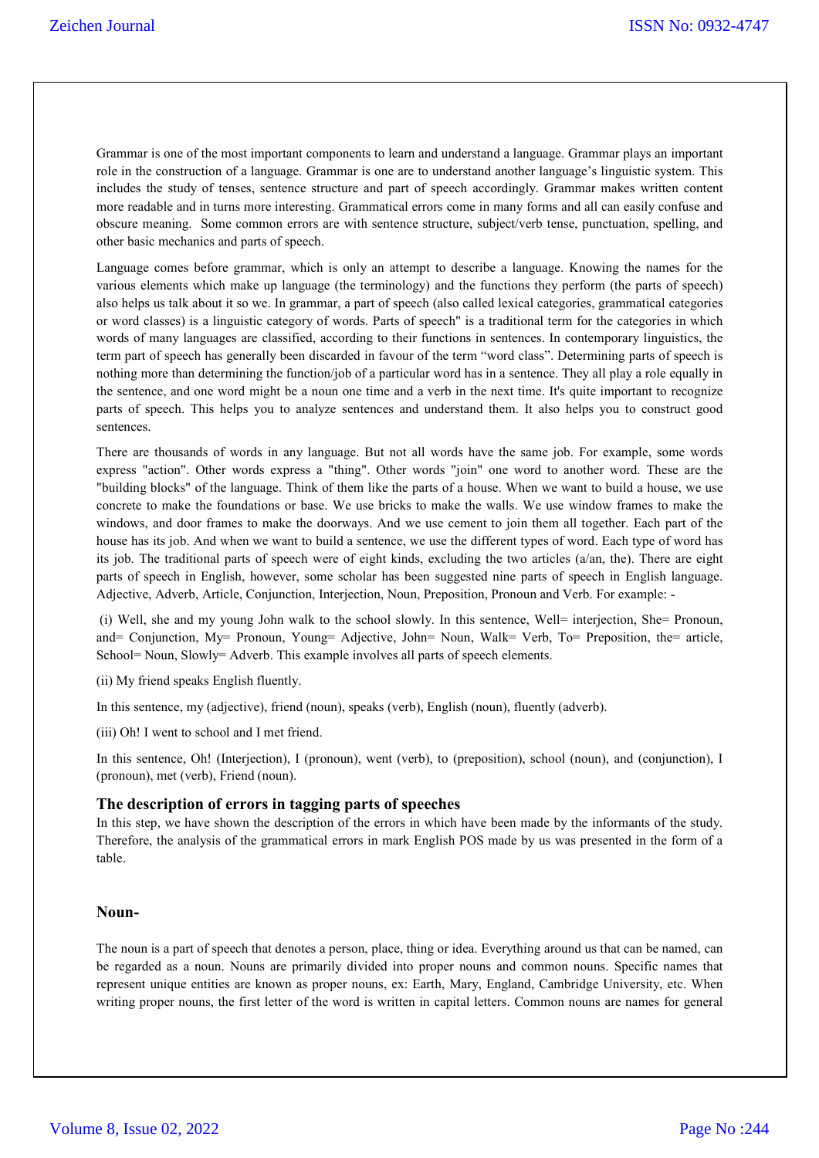Grammar is one of the most important components to learn and understand a language. Grammar plays an important role in the construction of a language. Grammar is one are to understand another language's linguistic system. This includes the study of tenses, sentence structure and part of speech accordingly. Grammar makes written content more readable and in turns more interesting. Grammatical errors come in many forms and all can easily confuse and obscure meaning. Some common errors are with sentence structure, subject/verb tense, punctuation, spelling, and other basic mechanics and parts of speech.

Language comes before grammar, which is only an attempt to describe a language. Knowing the names for the various elements which make up language (the terminology) and the functions they perform (the parts of speech) also helps us talk about it so we. In grammar, a part of speech (also called lexical categories, grammatical categories or word classes) is a linguistic category of words. Parts of speech" is a traditional term for the categories in which words of many languages are classified, according to their functions in sentences. In contemporary linguistics, the term part of speech has generally been discarded in favour of the term "word class". Determining parts of speech is nothing more than determining the function/job of a particular word has in a sentence. They all play a role equally in the sentence, and one word might be a noun one time and a verb in the next time. It's quite important to recognize parts of speech. This helps you to analyze sentences and understand them. It also helps you to construct good sentences.

There are thousands of words in any language. But not all words have the same job. For example, some words express "action". Other words express a "thing". Other words "join" one word to another word. These are the "building blocks" of the language. Think of them like the parts of a house. When we want to build a house, we use concrete to make the foundations or base. We use bricks to make the walls. We use window frames to make the windows, and door frames to make the doorways. And we use cement to join them all together. Each part of the house has its job. And when we want to build a sentence, we use the different types of word. Each type of word has its job. The traditional parts of speech were of eight kinds, excluding the two articles (a/an, the). There are eight parts of speech in English, however, some scholar has been suggested nine parts of speech in English language. Adjective, Adverb, Article, Conjunction, Interjection, Noun, Preposition, Pronoun and Verb. For example: -

(i) Well, she and my young John walk to the school slowly. In this sentence, Well= interjection, She= Pronoun, and= Conjunction, My= Pronoun, Young= Adjective, John= Noun, Walk= Verb, To= Preposition, the= article, School= Noun, Slowly= Adverb. This example involves all parts of speech elements.

(ii) My friend speaks English fluently.

In this sentence, my (adjective), friend (noun), speaks (verb), English (noun), fluently (adverb).

(iii) Oh! I went to school and I met friend.

In this sentence, Oh! (Interjection), I (pronoun), went (verb), to (preposition), school (noun), and (conjunction), I (pronoun), met (verb), Friend (noun).

#### **The description of errors in tagging parts of speeches**

In this step, we have shown the description of the errors in which have been made by the informants of the study. Therefore, the analysis of the grammatical errors in mark English POS made by us was presented in the form of a table.

#### **Noun-**

The noun is a part of speech that denotes a person, place, thing or idea. Everything around us that can be named, can be regarded as a noun. Nouns are primarily divided into proper nouns and common nouns. Specific names that represent unique entities are known as proper nouns, ex: Earth, Mary, England, Cambridge University, etc. When writing proper nouns, the first letter of the word is written in capital letters. Common nouns are names for general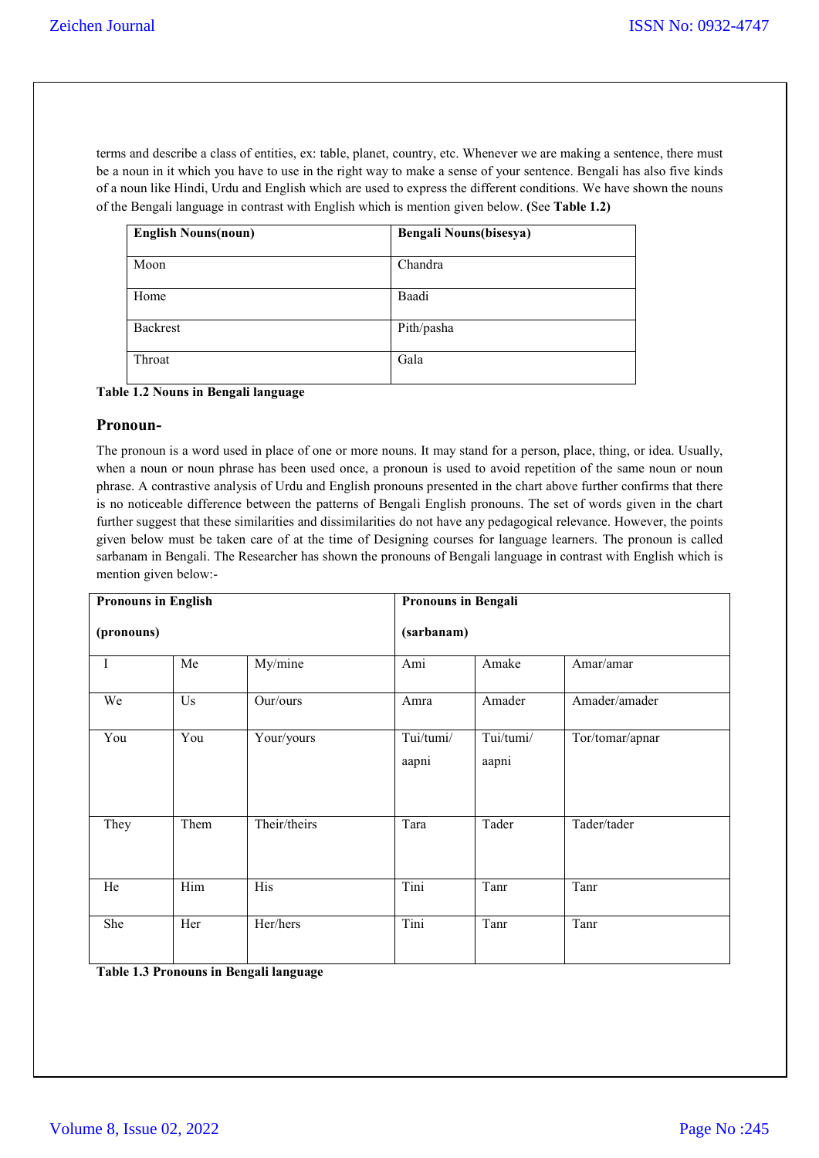terms and describe a class of entities, ex: table, planet, country, etc. Whenever we are making a sentence, there must be a noun in it which you have to use in the right way to make a sense of your sentence. Bengali has also five kinds of a noun like Hindi, Urdu and English which are used to express the different conditions. We have shown the nouns of the Bengali language in contrast with English which is mention given below. **(**See **Table 1.2)**

| <b>English Nouns(noun)</b> | <b>Bengali Nouns(bisesya)</b> |
|----------------------------|-------------------------------|
| Moon                       | Chandra                       |
| Home                       | Baadi                         |
| Backrest                   | Pith/pasha                    |
| Throat                     | Gala                          |

**Table 1.2 Nouns in Bengali language**

## **Pronoun-**

The pronoun is a word used in place of one or more nouns. It may stand for a person, place, thing, or idea. Usually, when a noun or noun phrase has been used once, a pronoun is used to avoid repetition of the same noun or noun phrase. A contrastive analysis of Urdu and English pronouns presented in the chart above further confirms that there is no noticeable difference between the patterns of Bengali English pronouns. The set of words given in the chart further suggest that these similarities and dissimilarities do not have any pedagogical relevance. However, the points given below must be taken care of at the time of Designing courses for language learners. The pronoun is called sarbanam in Bengali. The Researcher has shown the pronouns of Bengali language in contrast with English which is mention given below:-

| <b>Pronouns in English</b> |      | <b>Pronouns in Bengali</b> |                    |                    |                 |
|----------------------------|------|----------------------------|--------------------|--------------------|-----------------|
| (pronouns)                 |      |                            | (sarbanam)         |                    |                 |
| $\mathbf I$                | Me   | My/mine                    | Ami                | Amake              | Amar/amar       |
| We                         | Us   | Our/ours                   | Amra               | Amader             | Amader/amader   |
| You                        | You  | Your/yours                 | Tui/tumi/<br>aapni | Tui/tumi/<br>aapni | Tor/tomar/apnar |
| They                       | Them | Their/theirs               | Tara               | Tader              | Tader/tader     |
| He                         | Him  | His                        | Tini               | Tanr               | Tanr            |
| She                        | Her  | Her/hers                   | Tini               | Tanr               | Tanr            |

**Table 1.3 Pronouns in Bengali language**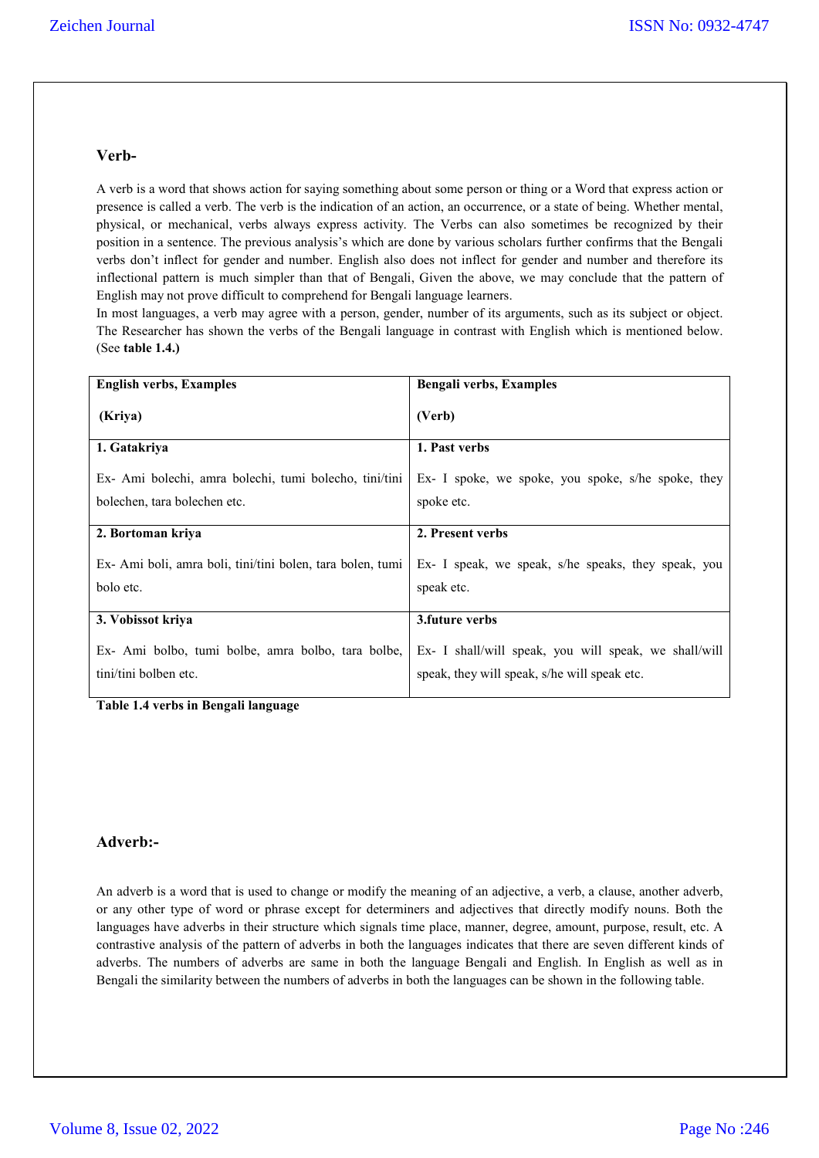# **Verb-**

A verb is a word that shows action for saying something about some person or thing or a Word that express action or presence is called a verb. The verb is the indication of an action, an occurrence, or a state of being. Whether mental, physical, or mechanical, verbs always express activity. The Verbs can also sometimes be recognized by their position in a sentence. The previous analysis's which are done by various scholars further confirms that the Bengali verbs don't inflect for gender and number. English also does not inflect for gender and number and therefore its inflectional pattern is much simpler than that of Bengali, Given the above, we may conclude that the pattern of English may not prove difficult to comprehend for Bengali language learners.

In most languages, a verb may agree with a person, gender, number of its arguments, such as its subject or object. The Researcher has shown the verbs of the Bengali language in contrast with English which is mentioned below. (See **table 1.4.)**

| <b>English verbs, Examples</b>                            | <b>Bengali verbs, Examples</b>                        |
|-----------------------------------------------------------|-------------------------------------------------------|
| (Kriya)                                                   | (Verb)                                                |
| 1. Gatakriya                                              | 1. Past verbs                                         |
| Ex- Ami bolechi, amra bolechi, tumi bolecho, tini/tini    | Ex- I spoke, we spoke, you spoke, s/he spoke, they    |
| bolechen, tara bolechen etc.                              | spoke etc.                                            |
| 2. Bortoman kriya                                         | 2. Present verbs                                      |
| Ex-Ami boli, amra boli, tini/tini bolen, tara bolen, tumi | Ex- I speak, we speak, s/he speaks, they speak, you   |
| bolo etc.                                                 | speak etc.                                            |
|                                                           |                                                       |
| 3. Vobissot kriya                                         | 3. future verbs                                       |
| Ex- Ami bolbo, tumi bolbe, amra bolbo, tara bolbe,        | Ex- I shall/will speak, you will speak, we shall/will |
| tini/tini bolben etc.                                     | speak, they will speak, s/he will speak etc.          |
|                                                           |                                                       |

**Table 1.4 verbs in Bengali language**

## **Adverb:-**

An adverb is a word that is used to change or modify the meaning of an adjective, a verb, a clause, another adverb, or any other type of word or phrase except for determiners and adjectives that directly modify nouns. Both the languages have adverbs in their structure which signals time place, manner, degree, amount, purpose, result, etc. A contrastive analysis of the pattern of adverbs in both the languages indicates that there are seven different kinds of adverbs. The numbers of adverbs are same in both the language Bengali and English. In English as well as in Bengali the similarity between the numbers of adverbs in both the languages can be shown in the following table.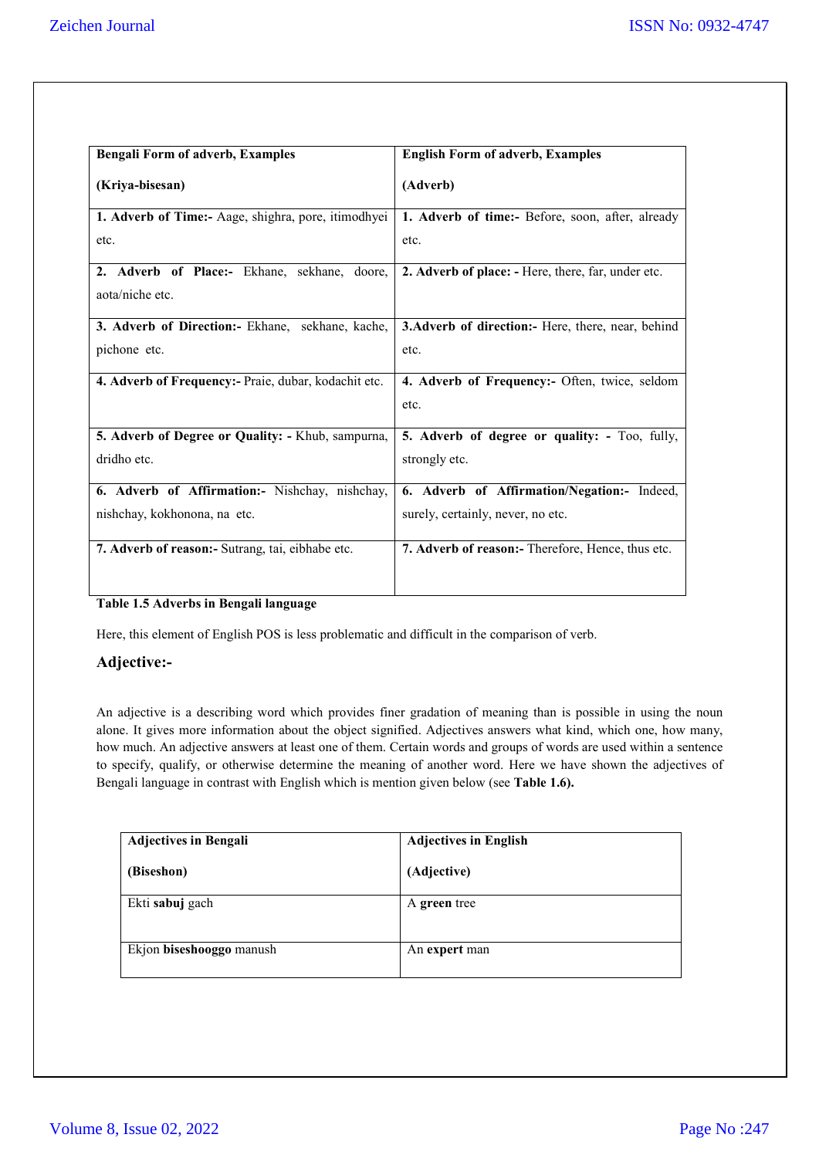| <b>Bengali Form of adverb, Examples</b>              | <b>English Form of adverb, Examples</b>            |
|------------------------------------------------------|----------------------------------------------------|
| (Kriya-bisesan)                                      | (Adverb)                                           |
| 1. Adverb of Time:- Aage, shighra, pore, itimodhyei  | 1. Adverb of time:- Before, soon, after, already   |
| etc.                                                 | etc.                                               |
| 2. Adverb of Place:- Ekhane, sekhane, doore,         | 2. Adverb of place: - Here, there, far, under etc. |
| aota/niche etc.                                      |                                                    |
| 3. Adverb of Direction:- Ekhane, sekhane, kache,     | 3. Adverb of direction: Here, there, near, behind  |
| pichone etc.                                         | etc.                                               |
| 4. Adverb of Frequency:- Praie, dubar, kodachit etc. | 4. Adverb of Frequency:- Often, twice, seldom      |
|                                                      | etc.                                               |
| 5. Adverb of Degree or Quality: - Khub, sampurna,    | 5. Adverb of degree or quality: - Too, fully,      |
| dridho etc.                                          | strongly etc.                                      |
| 6. Adverb of Affirmation:- Nishchay, nishchay,       | 6. Adverb of Affirmation/Negation:- Indeed,        |
| nishchay, kokhonona, na etc.                         | surely, certainly, never, no etc.                  |
| 7. Adverb of reason: - Sutrang, tai, eibhabe etc.    | 7. Adverb of reason:- Therefore, Hence, thus etc.  |
|                                                      |                                                    |

## **Table 1.5 Adverbs in Bengali language**

Here, this element of English POS is less problematic and difficult in the comparison of verb.

## **Adjective:-**

An adjective is a describing word which provides finer gradation of meaning than is possible in using the noun alone. It gives more information about the object signified. Adjectives answers what kind, which one, how many, how much. An adjective answers at least one of them. Certain words and groups of words are used within a sentence to specify, qualify, or otherwise determine the meaning of another word. Here we have shown the adjectives of Bengali language in contrast with English which is mention given below (see **Table 1.6).**

| <b>Adjectives in Bengali</b> | <b>Adjectives in English</b> |
|------------------------------|------------------------------|
| (Biseshon)                   | (Adjective)                  |
| Ekti sabuj gach              | A green tree                 |
| Ekjon biseshooggo manush     | An expert man                |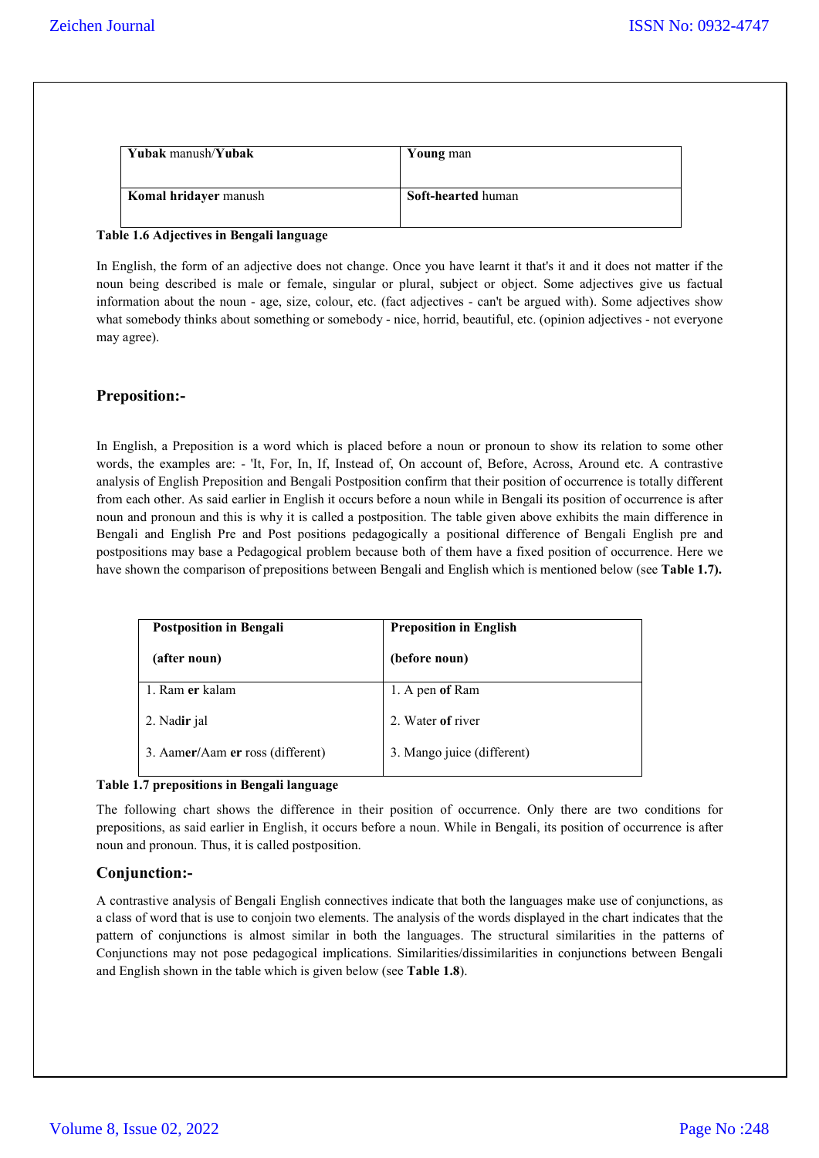| Yubak manush/Yubak           | Young man                 |
|------------------------------|---------------------------|
| <b>Komal hridayer</b> manush | <b>Soft-hearted human</b> |

#### **Table 1.6 Adjectives in Bengali language**

In English, the form of an adjective does not change. Once you have learnt it that's it and it does not matter if the noun being described is male or female, singular or plural, subject or object. Some adjectives give us factual information about the noun - age, size, colour, etc. (fact adjectives - can't be argued with). Some adjectives show what somebody thinks about something or somebody - nice, horrid, beautiful, etc. (opinion adjectives - not everyone may agree).

## **Preposition:-**

In English, a Preposition is a word which is placed before a noun or pronoun to show its relation to some other words, the examples are: - 'It, For, In, If, Instead of, On account of, Before, Across, Around etc. A contrastive analysis of English Preposition and Bengali Postposition confirm that their position of occurrence is totally different from each other. As said earlier in English it occurs before a noun while in Bengali its position of occurrence is after noun and pronoun and this is why it is called a postposition. The table given above exhibits the main difference in Bengali and English Pre and Post positions pedagogically a positional difference of Bengali English pre and postpositions may base a Pedagogical problem because both of them have a fixed position of occurrence. Here we have shown the comparison of prepositions between Bengali and English which is mentioned below (see **Table 1.7).**

| <b>Postposition in Bengali</b>   | <b>Preposition in English</b> |  |
|----------------------------------|-------------------------------|--|
| (after noun)                     | (before noun)                 |  |
| 1. Ram er kalam                  | 1. A pen of Ram               |  |
| 2. Nadir jal                     | 2. Water of river             |  |
| 3. Aamer/Aam er ross (different) | 3. Mango juice (different)    |  |

#### **Table 1.7 prepositions in Bengali language**

The following chart shows the difference in their position of occurrence. Only there are two conditions for prepositions, as said earlier in English, it occurs before a noun. While in Bengali, its position of occurrence is after noun and pronoun. Thus, it is called postposition.

# **Conjunction:-**

A contrastive analysis of Bengali English connectives indicate that both the languages make use of conjunctions, as a class of word that is use to conjoin two elements. The analysis of the words displayed in the chart indicates that the pattern of conjunctions is almost similar in both the languages. The structural similarities in the patterns of Conjunctions may not pose pedagogical implications. Similarities/dissimilarities in conjunctions between Bengali and English shown in the table which is given below (see **Table 1.8**).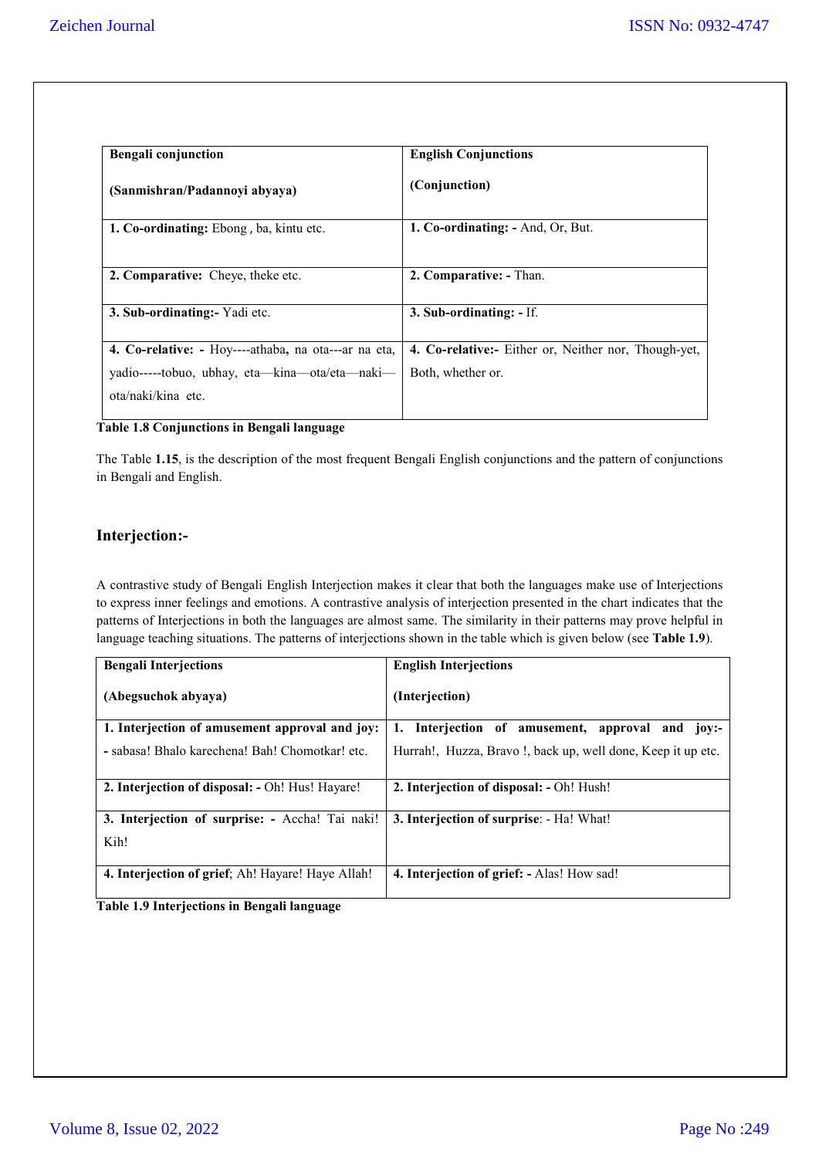| <b>Bengali</b> conjunction                           | <b>English Conjunctions</b>                          |
|------------------------------------------------------|------------------------------------------------------|
| (Sanmishran/Padannoyi abyaya)                        | (Conjunction)                                        |
| 1. Co-ordinating: Ebong, ba, kintu etc.              | 1. Co-ordinating: - And, Or, But.                    |
| 2. Comparative: Cheye, theke etc.                    | 2. Comparative: - Than.                              |
| 3. Sub-ordinating: Yadi etc.                         | 3. Sub-ordinating: - If.                             |
| 4. Co-relative: - Hoy----athaba, na ota---ar na eta, | 4. Co-relative:- Either or, Neither nor, Though-yet, |
| yadio-----tobuo, ubhay, eta—kina—ota/eta—naki—       | Both, whether or.                                    |
| ota/naki/kina etc.                                   |                                                      |

#### **Table 1.8 Conjunctions in Bengali language**

The Table **1.15**, is the description of the most frequent Bengali English conjunctions and the pattern of conjunctions in Bengali and English.

# **Interjection:-**

A contrastive study of Bengali English Interjection makes it clear that both the languages make use of Interjections to express inner feelings and emotions. A contrastive analysis of interjection presented in the chart indicates that the patterns of Interjections in both the languages are almost same. The similarity in their patterns may prove helpful in language teaching situations. The patterns of interjections shown in the table which is given below (see **Table 1.9**).

| <b>Bengali Interjections</b>                      | <b>English Interjections</b>                                |
|---------------------------------------------------|-------------------------------------------------------------|
| (Abegsuchok abyaya)                               | (Interjection)                                              |
| 1. Interjection of amusement approval and joy:    | 1. Interjection of amusement,<br>approval and<br>$10V:-$    |
| - sabasa! Bhalo karechena! Bah! Chomotkar! etc.   | Hurrah!, Huzza, Bravo!, back up, well done, Keep it up etc. |
| 2. Interjection of disposal: - Oh! Hus! Hayare!   | 2. Interjection of disposal: - Oh! Hush!                    |
| 3. Interjection of surprise: - Accha! Tai naki!   | 3. Interjection of surprise: - Ha! What!                    |
| Kih!                                              |                                                             |
| 4. Interjection of grief; Ah! Hayare! Haye Allah! | 4. Interjection of grief: - Alas! How sad!                  |

**Table 1.9 Interjections in Bengali language**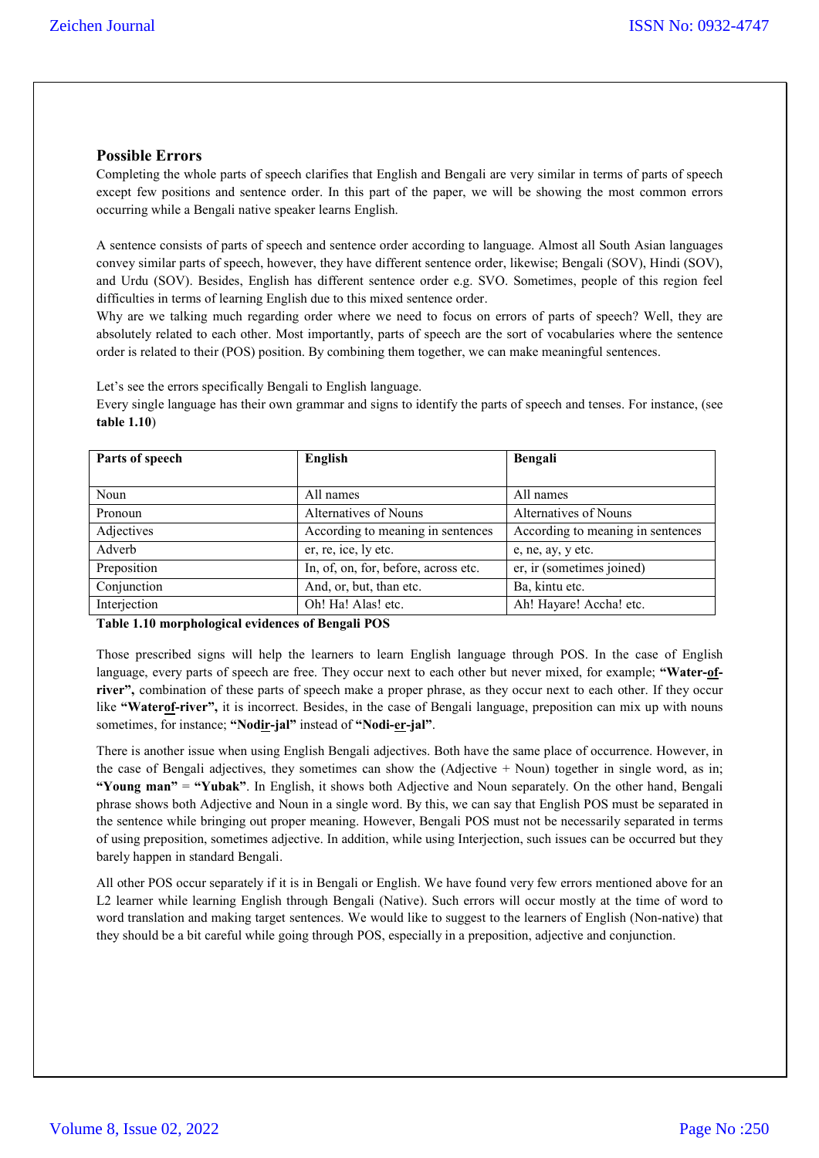## **Possible Errors**

Completing the whole parts of speech clarifies that English and Bengali are very similar in terms of parts of speech except few positions and sentence order. In this part of the paper, we will be showing the most common errors occurring while a Bengali native speaker learns English.

A sentence consists of parts of speech and sentence order according to language. Almost all South Asian languages convey similar parts of speech, however, they have different sentence order, likewise; Bengali (SOV), Hindi (SOV), and Urdu (SOV). Besides, English has different sentence order e.g. SVO. Sometimes, people of this region feel difficulties in terms of learning English due to this mixed sentence order.

Why are we talking much regarding order where we need to focus on errors of parts of speech? Well, they are absolutely related to each other. Most importantly, parts of speech are the sort of vocabularies where the sentence order is related to their (POS) position. By combining them together, we can make meaningful sentences.

Let's see the errors specifically Bengali to English language.

Every single language has their own grammar and signs to identify the parts of speech and tenses. For instance, (see **table 1.10**)

| Parts of speech | English                              | Bengali                           |
|-----------------|--------------------------------------|-----------------------------------|
|                 |                                      |                                   |
| Noun            | All names                            | All names                         |
| Pronoun         | Alternatives of Nouns                | Alternatives of Nouns             |
| Adjectives      | According to meaning in sentences    | According to meaning in sentences |
| Adverb          | er, re, ice, ly etc.                 | e, ne, ay, y etc.                 |
| Preposition     | In, of, on, for, before, across etc. | er, ir (sometimes joined)         |
| Conjunction     | And, or, but, than etc.              | Ba, kintu etc.                    |
| Interjection    | Oh! Ha! Alas! etc.                   | Ah! Hayare! Accha! etc.           |

**Table 1.10 morphological evidences of Bengali POS**

Those prescribed signs will help the learners to learn English language through POS. In the case of English language, every parts of speech are free. They occur next to each other but never mixed, for example; **"Water-ofriver",** combination of these parts of speech make a proper phrase, as they occur next to each other. If they occur like **"Waterof-river",** it is incorrect. Besides, in the case of Bengali language, preposition can mix up with nouns sometimes, for instance; **"Nodir-jal"** instead of **"Nodi-er-jal"**.

There is another issue when using English Bengali adjectives. Both have the same place of occurrence. However, in the case of Bengali adjectives, they sometimes can show the (Adjective + Noun) together in single word, as in; **"Young man"** = **"Yubak"**. In English, it shows both Adjective and Noun separately. On the other hand, Bengali phrase shows both Adjective and Noun in a single word. By this, we can say that English POS must be separated in the sentence while bringing out proper meaning. However, Bengali POS must not be necessarily separated in terms of using preposition, sometimes adjective. In addition, while using Interjection, such issues can be occurred but they barely happen in standard Bengali.

All other POS occur separately if it is in Bengali or English. We have found very few errors mentioned above for an L2 learner while learning English through Bengali (Native). Such errors will occur mostly at the time of word to word translation and making target sentences. We would like to suggest to the learners of English (Non-native) that they should be a bit careful while going through POS, especially in a preposition, adjective and conjunction.